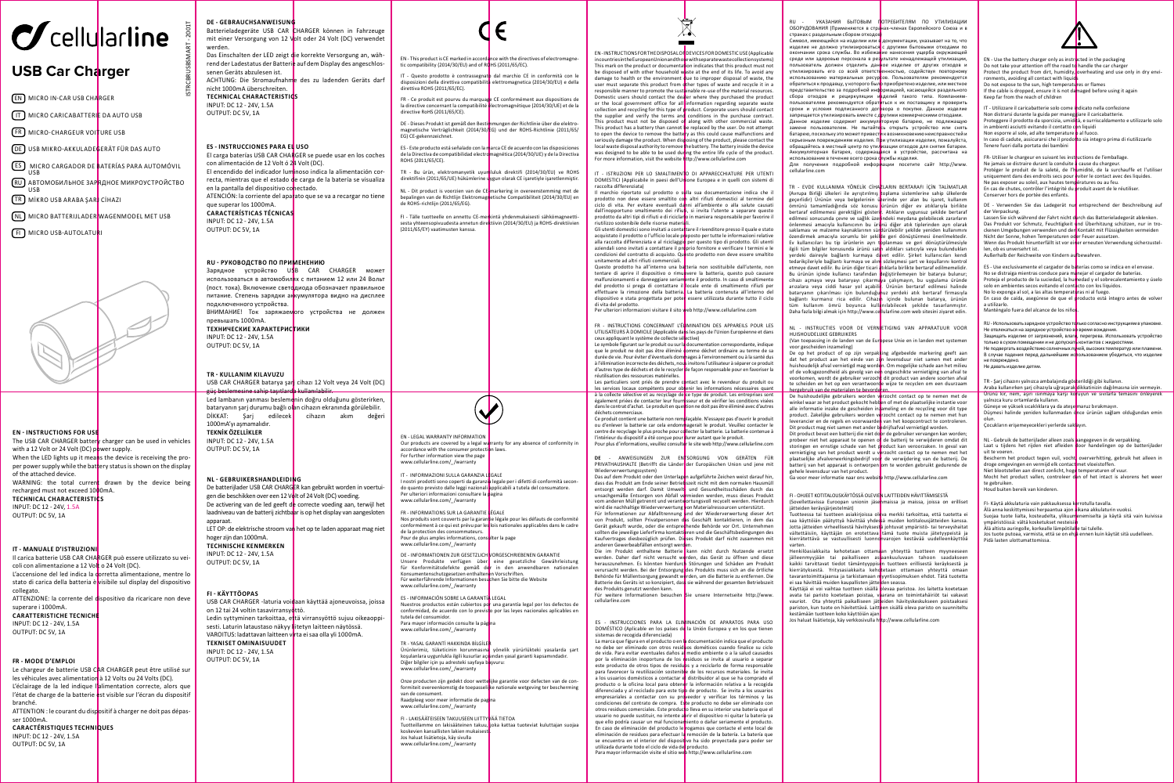

## **USB Car Charger**

EN MICRO IN-CAR USB CHARGER

IT MICRO CARICABATTERIE DA AUTO USB

FR MICRO-CHARGEUR VOITURE USB

DE USB MIKRO-AKKULADEGERÄT FÜR DAS AUTO

ES ] MICRO CARGADOR DE <mark>B</mark>ATERÍAS PARA AUTOMÓVIL USB

RU ) АВТОМОБИЛЬНОЕ ЗАР<mark>ЯДНОЕ МИКРОУСТРОЙСТВО</mark> USB

TR MİKRO USB ARABA ŞARJ CİHAZI

NL MICRO BATTERIJLADER WAGENMODEL MET USB

**FI** MICRO USB-AUTOLATURI



### **EN - INSTRUCTIONS FOR USE**

The USB CAR CHARGER battery charger can be used in vehicles with a 12 Volt or 24 Volt (DC) power supply. When the LED lights up it means the device is receiving the proper power supply while the battery status is shown on the display of the attached device. WARNING: the total current drawn by the device being recharged must not exceed 1000mA. **TECHNICAL CHARACTERISTICS** INPUT: DC 12 - 24V, 1.5A OUTPUT: DC 5V, 1A

#### **IT - MANUALE D'ISTRUZIONI**

Il carica batterie USB CAR CHARGER può essere utilizzato su veicoli con alimentazione a 12 Volt o 24 Volt (DC). L'accensione del led indica la corretta alimentazione, mentre lo stato di carica della batteria è visibile sul display del dispositivo collegato. ATTENZIONE: la corrente del dispositivo da ricaricare non deve superare i 1000mA. **CARATTERISTICHE TECNICH** INPUT: DC 12 - 24V, 1.5A OUTPUT: DC 5V, 1A

### **FR - MODE D'EMPLOI**

Le chargeur de batterie USB CAR CHARGER peut être utilisé sur les véhicules avec alimentation à 12 Volts ou 24 Volts (DC). L'éclairage de la led indique l'alimentation correcte, alors que l'état de charge de la batterie est visible sur l'écran du dispositif branché.

ATTENTION : le courant du dispositif à charger ne doit pas dépasser 1000mA.

**CARACTÉRISTIQUES TECHNIQUES** INPUT: DC 12 - 24V, 1.5A OUTPUT: DC 5V, 1A

ISTRCBRUSBSMART - 2001T **DE - GEBRAUCHSANWEISUNG** Batterieladegeräte USB CAR CHARGER können in Fahrzeuge mit einer Versorgung von 12 Volt oder 24 Volt (DC) verwendet werden. Das Einschalten der LED zeigt die korrekte Versorgung an, während der Ladestatus der Batterie auf dem Display des angeschlossenen Geräts abzulesen ist. ACHTUNG: Die Stromaufnahme des zu ladenden Geräts darf nicht 1000mA überschreiten. **TECHNICAL CHARACTERISTICS** INPUT: DC 12 - 24V, 1.5A OUTPUT: DC 5V, 1A **ES - INSTRUCCIONES PARA EL USO** El carga baterías USB CAR CHARGER se puede usar en los coches con alimentación de 12 Volt ó 24 Volt (DC). El encendido del indicador luminoso indica la alimentación correcta, mientras que el estado de carga de la batería se visualiza

en la pantalla del dispositivo conectado. ATENCIÓN: la corriente del aparato que se va a recargar no tiene que superar los 1000mA. **CARACTERÍSTICAS TÉCNICAS**  INPUT: DC 12 - 24V, 1.5A OUTPUT: DC 5V, 1A

### **RU - РУКОВОДСТВО ПО ПРИМЕНЕНИЮ**

Зарядное устройство USB CAR CHARGER может использоваться в автомобил<mark>ях с питанием 12 или 24 Вольт</mark> (пост. тока). Включение светодиода обозначает правильное питание. Степень зарядки аккумулятора видно на дисплее подключенного устройства. ВНИМАНИЕ! Ток заряжаемого устройства не должен превышать 1000mA. **ТЕХНИЧЕСКИЕ ХАРАКТЕРИСТИКИ** INPUT: DC 12 - 24V, 1.5A OUTPUT: DC 5V, 1A

**TR - KULLANIM KILAVUZU** USB CAR CHARGER batarya şarj cihazı 12 Volt veya 24 Volt (DC) eine sahin t

Led lambanın yanması beslemenin doğru olduğunu gösterirken, bataryanın şarj durumu bağlı olan cihazın ekranında görülebilir.<br>DİKKAT: Sari edilerek cihazın akım değer DİKKAT: Şarj edilecek 1000mA'yı aşmamalıdır. **TEKNİK ÖZELLİKLER**

INPUT: DC 12 - 24V, 1.5A OUTPUT: DC 5V, 1A

#### **NL - GEBRUIKERSHANDLEIDING**

De batterijlader USB CAR CHARGER kan gebruikt worden in voertuigen die beschikken over een 12 Volt of 24 Volt (DC) voeding. De activering van de led geeft de correcte voeding aan, terwijl het laadniveau van de batterij zichtbaar is op het display van aangesloten annaraat LET OP: de elektrische stroom van het op te laden apparaat mag niet hoger zijn dan 1000mA. **TECHNISCHE KENMERKEN** INPUT: DC 12 - 24V, 1.5A OUTPUT: DC 5V, 1A

#### **FI - KÄYTTÖOPAS**

USB CAR CHARGER -laturia voidaan käyttää ajoneuvoissa, joissa on 12 tai 24 voltin tasavirransyöttö. Ledin syttyminen tarkoittaa, että virransyöttö sujuu oikeaoppisesti. Laturin lataustaso näkyy liitetyn laitteen näytössä. VAROITUS: ladattavan laitteen virta ei saa olla yli 1000mA. **TEKNISET OMINAISUUDET** INPUT: DC 12 - 24V, 1.5A OUTPUT: DC 5V, 1A

Ürünlerimiz, tüketicinin korunmasına yönelik yürürlükteki yasalarda şart koşulanlara uygunlukla ilgili kusurlar açısından yasal garanti kapsamındadır. Diğer bilgiler için şu adresteki sayfaya b<mark>a</mark>şvuru:<br>www.cellularline.com/\_/warranty Onze producten zijn gedekt door wette ijke garantie voor defecten van de con-

formiteit overeenkomstig de toepasselijke nationale wetgeving ter bescherming van de consument. Raadpleeg voor meer informatie de pag www.cellularline.com/\_/warranty

FI - LAKISÄÄTEISEEN TAKUUSEEN LIITTYVÄÄ TIETOA Tuotteillamme on lakisääteinen takuu, joka kattaa tuoteviat kuluttajan suojaa koskevien kansallisten lakien mukaisesti. Jos haluat lisätietoja, käy sivulla www.cellularline.com/\_/warranty

F

EN - This product is CE marked in accordance with the directives of electromagnetic compatibility (2014/30/EU) and of ROHS (2011/65/EC).

IT - Questo prodotto è contrassegnato dal marchio CE in conformità con le disposizioni della direttiva compatibilità elettromagnetica (2014/30/EU) e della direttiva ROHS (2011/65/EC).

FR - Ce produit est pourvu du marquage CE conformément aux dispositions de la directive concernant la compatibilité électromagnétique (2014/30/UE) et de la directive RoHS (2011/65/CE).

DE - Dieses Produkt ist gemäß den Bestimmungen der Richtlinie über die elektro-magnetische Verträglichkeit (2014/30/EG) und der ROHS-Richtlinie (2011/65/ EG) CE-gekennzeichnet.

ES - Este producto está señalado con la marca CE de acuerdo con las disposiciones<br>de la Directiva de compatibilidad electromagnética (2014/30/UE) y de la Directiva ROHS (2011/65/CE).

TR - Bu ürün, elektromanyetik uyumluluk direktifi (2014/30/EU) ve ROHS direktifinin (2011/65/UE) hükümlerine uygun olarak CE işaretiyle işaretlenmiştir.

NL - Dit product is voorzien van de CE-markering in overeenstemming met de bepalingen van de Richtlijn Elektromagnetische Compatibiliteit (2014/30/EU) en de ROHS-richtlijn (2011/65/EG).

FI - Tälle tuotteelle on annettu CE-merkintä yhdenmukaisesti sähkömagneettisesta yhteensopivuudesta annetun direktiivin (2014/30/EU) ja ROHS-direktiivien (2011/65/EY) vaatimusten kanssa.

EN - INSTRUCTIONS FOR THE DISPOSAL OF DEVICES FOR DOMESTIC USE (Applicable

in countries in the European Union and those with separate waste collection systems) This mark on the product or documentation indicates that this product must not be disposed of with other household waste at the end of its life. To avoid any damage to health or the environment due to improper disposal of waste, the<br>user must separate this product from other types of waste and recycle it in a responsible manner to promote the sustainable re-use of the material resources. Sponsible mailiner to promote the sustainable re-use of the material resources.<br>Dimestic users should contact the dealer where they purchased the product or the local government office for all information regarding separate waste collection and recycling for this type of product. Corporate users should contact<br>the supplier and verify the terms and conditions in the purchase contract. This product must not be disposed of along with other commercial waste. This product has a battery than cannot be replaced by the user. Do not attempt to open the device to remove the battery as this could cause malfunctions and seriously damage the product. When disposing of the product, please contact the seriously ualliage the proudet. When ulso sing or the proudet, please contact the<br>local waste disposal authority to remove the battery. The battery inside the device was designed to be able to be used during the entire life cycle of the product. was designed to be able to be used during the entire life cycle of the more information, visit the website http://www.cellularline.com

IT - ISTRUZIONI PER LO SMALTIMENTO DI APPARECCHIATURE PER UTENTI DOMESTICI (Applicabile in paesi dell'Unione Europea e in quelli con sistemi di raccolta differenziata) Il marchio riportato sul prodotto o sulla sua documentazione indica che il

prodotto non deve essere smaltito con altri rifiuti domestici al termine del<br>ciclo di vita. Per evitare eventuali danni all'ambiente o alla salute causati dall'inopportuno smaltimento dei rifiu**t**i, si invita l'utente a separare questo<br>prodotto da altri tipi di rifiuti e di riciclario in maniera responsabile per favorire il riutilizzo sostenibile delle risorse materi**a**li.<br>Gli utenti domestici sono invitati a contattare il rivenditore presso il quale e stato

acquistato il prodotto o l'ufficio locale preposto per tutte le informazioni relative<br>alla raccolta differenziata e al riciclaggio per questo tipo di prodotto. Gli utenti<br>aziendali sono invitati a contattare il proprio for condizioni del contratto di acquisto. Questo prodotto non deve essere smaltito unitamente ad altri rifiuti commerciali.

Questo prodotto ha all'interno una batteria non sostituibile dall'utente, non tentare di aprire il dispositivo o rimuovere la batteria, questo può causare<br>malfunzionamenti e danneggiare seriamente il prodotto. In caso di smaltimento del prodotto si prega di contattare il locale ente di smaltimento rifiuti per effettuare la rimozione della batteria. La batteria contenuta all'interno del dispositivo e stata progettata per poter essere utilizzata durante tutto il ciclo

di vita del prodotto. Per ulteriori informazioni visitare il sito web http://www.cellularline.com

FR - INSTRUCTIONS CONCERNANT L'ÉLIMINATION DES APPAREILS POUR LES UTILISATEURS À DOMICILE (Applicable dans les pays de l'Union Européenne et dans ceux appliquant le système de collecte sélective) Le symbole figurant sur le produit ou sur la documentation correspondante, indique

que le produit ne doit pas être éliminé comme déchet ordinaire au terme de sa durée de vie. Pour éviter d'éventuels dommages à l'environnement ou à la santé dus à l'élimination incorrecte des déchets, nous invitons l'utilisateur à séparer ce produit d'autres type de déchets et de le recycler de façon responsable pour en favoriser la réutilisation des ressources matérielles.

Les particuliers sont priés de prendre contact avec le revendeur du produit ou les services locaux compétents pour obtenir les informations nécessaires quant à la collecte sélective et au recyclage de ce type de produit. Les entreprises sont également priées de contacter leur fournisseur et de vérifier les conditions visées dans le contrat d'achat. Le produit en question ne doit pas être éliminé avec d'autres

déchets commerciaux. Ce produit contient une batterie non remplaçable. N'essayez pas d'ouvrir le produit<br>ou d'enlever la batterie car cela endommagerait le produit. Veuillez contacter le<br>centre de recyclage le plus proche pour cdliecter la bat

l'intérieur du dispositif a été conçue pour durer autant que le produit. Pour plus d'informations, veuillez consulter le site web http://www.cellularline.com

**DE** - ANWEISUNGEN ZUR ENTSORGUNG VON GERÄTEN FÜR PRIVATHAUSHALTE (Betrifft die Länder der Europäischen Union und jene mit

Wiederverwertungssystem)<br>Das auf dem Produkt oder den Unterlagen aufgeführte Zeichen weist darauf bin. Das auf dem Produkt oder den Unterlagen aufgeführte Zeichen weist darauf hin,<br>dass das Produkt am Ende seiner Betriebszeit nicht mit dem normalen Hausmüll entsorgt werden darf. Damit Umwelt- und Gesundheitsschäden durch das unsachgemäße Entsorgen von Abfall vermieden werden, muss dieses Produkt vom anderen Müll getrennt und verantwortungsvoll recycelt werden. Hierdurch<br>wird die nachhaltige Wiederverwertung von Materialressourcen unterstützt. Für Informationen zur Abfalltrennung und der Wiederverwertung dieser Art von Produkt, sollten Privatpersonen das Geschäft kontaktieren, in dem das Gerät gekauft wurde, oder die entsprechende Behörde vor Ort. Unternehmen<br>sollten die jeweilige Lieferfirma kontaktieren und die Geschäftsbedingungen des<br>Kaufvertrages diesbezüglich prüfen. Dieses Produkt darf nicht zusamme

anderen Gewerbeabfällen entsorgt werd<mark>e</mark>n.<br>Die im Produkt enthaltene Batterie kann nicht durch Nutzende ersetzt werden. Daher darf nicht versucht werden, das Gerät zu öffnen und diese herauszunehmen. Es könnten hierdurch Störungen und Schäden am Produkt verursacht werden. Bei der Entsorgung des Produkts muss sich an die örtliche Behörde für Müllentsorgung gewandt werden, um die Batterie zu entfernen. Die Batterie des Geräts ist so konzipiert, dass sie während der gesamten Betriebszeit des Produkts genutzt werden kann. Für weitere Informationen besuchen Sie unsere Internetseite http://www.

cellularline.com

ES - INSTRUCCIONES PARA LA ELIMINACIÓN DE APARATOS PARA USO DOMÉSTICO (Aplicable en los países de la Unión Europea y en los que tiene sistemas de recogida diferenciada)

La marca que figura en el producto o en la documentación indica que el producto<br>no debe ser eliminado con otros residuos dométicos cuando finalice su ciclo<br>de vida. Para evitar eventuales daños al medio ambiente o a la sa por la eliminación inoportuna de los residuos se invita al usuario a separar este producto de otros tipos de residuos y a reciclarlo de forma responsable para favorecer la reutilización sostenible de los recursos materiales. Se invita a los usuarios domésticos a contactar el distribuidor al que se ha comprado el producto o la oficina local para obtener la información relativa a la recogida diferenciada y al reciclado para este tipo de producto. Se invita a los usuarios<br>empresariales a contactar con su proveedor y verificar los términos y las condiciones del contrato de compra. Este producto no debe ser eliminado con otros residuos comerciales. Este producto lleva en su interior una batería que el<br>usuario no puede sustituir, no intente aprir el dispositivo ni quitar la batería ya que ello podría causar un mal funcionamiento o dañar seriamente el producto. En caso de eliminación del producto le rogamos que contacte el ente local de eliminación de residuos para efectuar la remoción de la batería. La batería que se encuentra en el interior del disposit**i**vo ha sido proyectada para poder ser<br>utilizada durante todo el ciclo de vida de**l** producto. Para mayor información visite el sitio web http://www.cellularline.com

УКАЗАНИЯ БЫТОВЫМ ПОТРЕБИТЕЛЯМ ПО УТИЛИЗАЦИИ ОБОРУДОВАНИЯ (Применяются в странах-членах Европейского Союза и в странах с раздельным сбором отходов)

Символ, имеющийся на изделии или в документации, указывает на то, что изделие не должно утилизироваться с другими бытовыми отходами по окончании срока службы. Во избежание нанесения ущерба окружающей среде или здоровью персонала в рез<mark>ультате ненадлежащей утилизации,</mark><br>пользователь должен отделить дан<mark>ное изделие от других отходов и</mark> утилизировать его со всей ответственностью, содействуя повторному использованию материальных ресур<mark>с</mark>ов. Пользователям рекомендуется<br>обратиться к продавцу, у которого был<mark>р</mark> приобретено изделие, или местное представительство за подробной информацией, касающейся раздельного сбора отходов и рециркуляции и<mark>зделий такого типа. Компаниям-</mark><br>пользователям рекомендуется обратиться к их поставщику и проверить сроки и условия подписанного договора о покупке. Данное изделие запрещается утилизировать вместе с другими коммерческими отходами. Данное изделие содержит аккумуляторную батарею, не подлежащую замене пользователем. Не пытайтесь открыть устройство или снять батарею, поскольку это может привести к возникновению неисправностей и серьезным повреждениям изделия. При утилизации изделия, пожалуйста, обращайтесь в местный центр по утилизации отходов для снятия батареи. Аккумуляторная батарея, содержащаяся в устройстве, рассчитана на использование в течение всего срока флужбы изделия.<br>Для получения подробной информации посетите сайт http://www.

cellularline.com

TR - EVDE KULLANIMA YÖNELİK CİHAZLARIN BERTARAFI İÇİN TALİMATLAR (Avrupa Birliği ülkeleri ile ayrıştırılmış koplama sistemlerine sahip ülkelerde<br>geçerlidir) Ürünün veya belgelerinin üzerinde yer alan bu işaret, kullanım<br>ömrünü tamamladığında söz konusu ürünün diğer ev atıklarıyla birlik bertaraf edilmemesi gerektiğini gösterir. Atıkların uygunsuz şekilde bertaraf edilmesi sonucunda çevre ve sağlık üzerindeki meydana gelebilecek zararların önlenmesi amacıyla kullanıcının bu ürünü diğer atık tiplerinden ayrı olarak saklaması ve malzeme kaynaklarının sürdürülebilir şekilde yeniden kullanımını özendirmek amacıyla sorumlu bir şekilde geri dönüştürmesi önerilmektedir. Ev kullanıcıları bu tip ürünlerin ayrı toplanması ve geri dönüştürülmesiyle ilgili tüm bilgiler konusunda ürünü satın aldıkları satıcıyla veya bulunduklar yerdeki daireyle bağlantı kurmaya davet edilir. Şirket kullanıcıları kendi tedarikçileriyle bağlantı kurmaya ve alım sözleşmesi şart ve koşullarını kontrol etmeye davet edilir. Bu ürün diğer ticari atıklarla birlikte bertaraf edilmemelidir. Bu ürünün içinde kullanıcı tarafından değiştirilemeyen bir batarya bulunur; cihazı açmaya veya bataryayı çıkarmaya çalışmayın, bu uygulama üründe arızalara veya ciddi hasar yol açabilir. Ürünün bertaraf edilmesi halinde bataryanın çıkarılması için bulunduğunuz yerdeki atık bertaraf firmasıyla bağlantı kurmanız rica edilir. Cihazın içinde bulunan batarya, ürünün tüm kullanım ömrü boyunca kullanılabilecek şekilde tasarlanmıştır. Daha fazla bilgi almak için http://www.cellularline.com web sitesini ziyaret edin.

NL - INSTRUCTIES VOOR DE VERNETIGING VAN APPARATUUR VOOR HUISHOUDELIJKE GEBRUIKERS (Van toepassing in de landen van de Europese Unie en in landen met systemen

voor gescheiden inzameling) De op het product of op zijn verpakking afgebeelde markering geeft aan dat het product aan het einde van zijn levensduur niet samen met ander huishoudelijk afval vernietigd mag worden. Om mogelijke schade aan het milieu of de volksgezondheid als gevolg van een ongeschikte vernietiging van afval te voorkomen, wordt de gebruiker verzocht dit product van andere soorten afval te scheiden en het op een verantwoorde wijze te recyclen om een duurzaam hergebruik van de materialen te bevorde<mark>r</mark>en.<br>De huishoudelijke gebruikers worden v<mark>e</mark>rzocht contact op te nemen met de

winkel waar ze het product gekocht hebben of met de plaatselijke instantie voor alle informatie inzake de gescheiden in ameling en de recycling voor dit type<br>product. Zakelijke gebruikers worden verzocht contact op te nemen met hun leverancier en de regels en voorwaarden van het koopcontract te controleren. Dit product mag niet samen met ander bedrijfsafval vernietigd worden. Dit product bevat een batterij die niet door de gebruiker vervangen kan worden; probeer niet het apparaat te openen of de batterij te verwijderen omdat dit storingen en ernstige schade van het product kan veroorzaken. In geval van vernietiging van het product wordt u verzocht contact op te nemen met het plaatselijke afvalverwerkingsbedrijf voor de verwijdering van de batterij. De batterij van het apparaat is ontworpen om te worden gebruikt gedurende de gehele levensduur van het product. Ga voor meer informatie naar ons website http://www.cellularline.com

FI - OHJEET KOTITALOUSKÄYTÖSSÄ OLEVIEN LAITTEIDEN HÄVITTÄMISESTÄ

(Sovellettavissa Euroopan unionin jäsenmaissa ja maissa, joissa on erilliset jätteiden keräysjärjestelmät)

Tuotteessa tai tuotteen asiakirjoissa oleva merkki tarkoittaa, että tuotetta ei<br>saa käyttöiän päätyttyä hävittää yhdes<mark>s</mark>ä muiden kotitalousjätteiden kanssa. Jotta jätteiden virheellisestä hävityksestä johtuvat ympäristö- tai terveyshaitat vältettäisiin, käyttäjän on erotettava tämä tuote muista jätetyypeistä ja kierrätettävä se vastuullisesti luonnonvarojen kestävää uudelleenkäyttöä varten. Henkilöasiakkaita kehotetaan ottamaan yhteyttä tuotteen myyneeseen

jälleenmyyjään tai paikalliseen asiaankuuluvaan tahoon saadakseen<br>kaikki tarvittavat tiedot tämäntyyppis<mark>e</mark>n tuotteen erillisestä keräyksestä ja<br>kierrätyksestä. Yritysasiakkaita keh**o**tetaan ottamaan yhteyttä omaan tavarantoimittajaansa ja tarkistamaan myyntisopimuksen ehdot. Tätä tuotetta ei saa hävittää muiden kaupallisten jätteiden seassa. Käyttäjä ei voi vaihtaa tuotteen sisällä olevaa paristoa. Jos laitetta koetetaan

avata tai paristo koetetaan poistaa, vaarana on toimintahäiriöt tai vakavat vauriot. Ota yhteyttä paikalliseen jätteiden hävityskeskukseen poistaaksesi pariston, kun tuote on hävitettävä. Laitteen sisällä oleva paristo on suunniteltu kestämään tuotteen koko käyttöiän ajan.

Jos haluat lisätietoja, käy verkkosivulla http://www.cellularline.com

EN - Use the battery charger only as instructed in the packaging Do not take your attention off the road to handle the car charge Protect the product from dirt, humidity, overheating and use only in dry environments, avoiding all contact with liquid Do not expose to the sun, high temperatures or flames If the cable is dropped, ensure it is not damaged before using it again Keep far from the reach of children IT - Utilizzare il caricabatterie solo come indicato nella confezione

Non distrarsi durante la guida per maneggiare il caricabatterie. Proteggere il prodotto da sporcizia, umidità, e surriscaldamento e utilizzarlo solo in ambienti asciutti evitando il contatto con liquidi no ambienti asciutti evitando il contatto con ilguitario.<br>Non esporre al sole, ad alte temperature o al fuoco. In caso di cadute, assicurarsi che il prodotto sia integro prima di riutilizzarlo Tenere fuori dalla portata dei bambini

FR- Utiliser le chargeur en suivant les instructions de l'emballage Ne jamais se distraire durant la conduite à cause du chargeur. Protéger le produit de la saleté, de l'humidité, de la surchauffe et l'utiliser uniquement dans des endroits secs pour éviter le contact avec des liquides. ninguement auns ues enuncies sees pour vitter le contact av<br>Ne pas exposer au soleil, aux hautes tem<mark>p</mark>ératures ou au feu En cas de chutes, contrôler l'intégrité du produit avant de le réutiliser. Conserver hors de portée des enfants.

DE - Verwenden Sie das Ladegerät nur entsprechend der Beschreibung auf<br>der Verpackung.<br>Lassen Sie sich während der Fahrt nicht durch das Batterieladegerät ablenken.

Das Produkt vor Schmutz, Feuchtigkeit und Überhitzung schützen, nur in tro-<br>ckenen Umgebungen verwenden und den Kontakt mit Flüssigkeiten vermeiden<br>Nicht der Sonne, hohen Temperaturen oder Feuer aussetzen. went der Sonne, nonen remperaturen oder reder aussetzen.<br>Wenn das Produkt hinunterfällt ist vor einer erneuten Verwendung sicherzustellen, ob es unversehrt ist.

Außerhalb der Reichweite von Kindern aufbewahren.

ES - Use exclusivamente el cargador de baterías como se indica en el envase. No se distraiga mientras conduce para manejar el cargador de baterías. Proteja el producto de la suciedad, la humedad y el sobrecalentamiento y úselo solo en ambientes secos evitando el contacto con los líquidos. No lo exponga al sol, a las altas temperaturas ni al fuego.<br>En caso de caída, asegúrese de que el producto está íntegro antes de volver a utilizarlo. s sumantes<br>Manténgalo fuera del alcance de los niño.

RU - Использовать зарядное устройство то<mark>лько согласно инструкциям в упаковке</mark> Не отвлекаться на зарядное устройство во время вождения. Защищать изделие от загрязнений, влаги, перегрева. Использовать устройство только в сухом помещении и не допускать контактов с жидкостями. Не подвергать воздействию солнечных лучей, высоких температур или пламени. В случае падения перед дальнейшим использованием убедиться, что изделие не повреждено. Не давать изделие детям.

#### TR - Şarj cihazını yalnızca ambalajında gösterildiği gibi kullanın. Araba kullanırken şarj cihazıyla uğraşarak dikkatinizin dağılmasına izin vermeyin. Ürünü kir, nem, aşırı ısınmaya karşı koruyun ve sıvılarla temasını önleyerek yalnızca kuru ortamlarda kullanın.

Güneşe ve yüksek sıcaklıklara ya da ateşe maruz bırakmayın. Düşmesi halinde yeniden kullanmadan önce ürünün sağlam olduğundan emin

olun. Çocukların erişemeyecekleri yerlerde saklayın.

NL - Gebruik de batterijlader alleen zoals **a**angegeven in de verpakking. Laat u tijdens het rijden niet afleiden door handelingen op de batterijlader uit te voeren.

Bescherm het product tegen vuil, vocht, oververhitting, gebruik het alleen in droge omgevingen en vermijd elk contact met vloeistoffen. Niet blootstellen aan direct zonlicht, hoge temperaturen of vuur. Mocht het product vallen, controleer dan of het intact is alvorens het weer

te gebruiken. ie geuruiken.<br>Houd buiten bereik van kinderen

FI- Käytä akkulaturia vain pakkauksessa kerrotulla tavalla. Älä anna keskittymisesi herpaantua ajon aikana akkulaturin vuoksi. Suojaa tuote lialta, kosteudelta, ylikuumenemiselta ja käytä sitä vain kuivissa ympäristöissä: vältä kosketukset nesteisii<mark>n</mark> Älä altista auringolle, korkealle lämpötilalle tai tulelle.

Jos tuote putoaa, varmista, että se on ehjä ennen kuin käytät sitä uudelleen. Pidä lasten ulottumattomissa.

EN - LEGAL WARRANTY INFORMATION Our products are covered by a legal warranty for any absence of conformity in accordance with the consumer protection laws. For further information view the page



FR - INFORMATIONS SUR LA GARANTIE LÉGALE

www.cellularline.com/\_/warranty

TR - YASAL GARANTİ HAKKINDA BİLGİLER

tutela del consumidor. racia en comanimente.<br>Para mayor información consulte la pág www.cellularline.com/\_/warranty

ES - INFORMACIÓN SOBRE LA GARANTÍA LEGAL

de la protection des consommateurs. Pour de plus amples informations, consulter la page www.cellularline.com/\_/warranty

I nostri prodotti sono coperti da garanzi**a** legale per i difetti di conformità secon-<br>do quanto previsto dalle leggi nazionali applicabili a tutela del consumatore. Per ulteriori informazioni consultare la pagina www.cellularline.com/\_/warranty

Nos produits sont couverts par la garantie légale pour les défauts de conformité conformément à ce qui est prévu par les lois nationales applicables dans le cadre

DE - INFORMATIONEN ZUR GESETZLICH VORGESCHRIEBENEN GARANTIE Unsere Produkte verfügen über eine gesetzliche Gewährleistung für Konformitätsdefekte gemäß der in den anwendbaren nationalen Konsumentenschutzgesetzen enthalten<mark>e</mark>n Vorschriften.<br>Für weiterführende Informationen besu<mark>c</mark>hen Sie bitte die Website

Nuestros productos están cubiertos por una garantía legal por los defectos de conformidad, de acuerdo con lo previsto por las leyes nacionales aplicables en